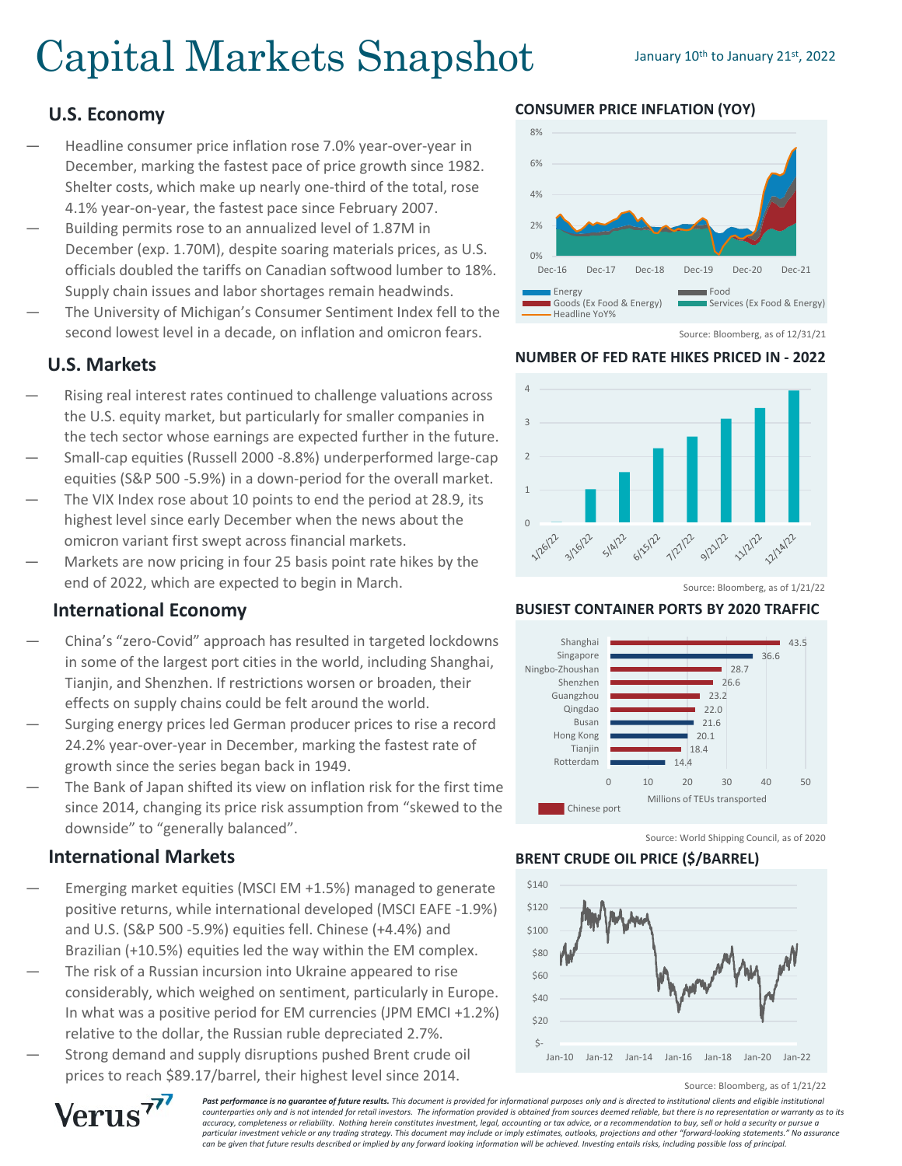# Capital Markets Snapshot January 10th to January 21st, 2022

## **U.S. Economy**

- Headline consumer price inflation rose 7.0% year-over-year in December, marking the fastest pace of price growth since 1982. Shelter costs, which make up nearly one-third of the total, rose 4.1% year-on-year, the fastest pace since February 2007.
- Building permits rose to an annualized level of 1.87M in December (exp. 1.70M), despite soaring materials prices, as U.S. officials doubled the tariffs on Canadian softwood lumber to 18%. Supply chain issues and labor shortages remain headwinds.
- The University of Michigan's Consumer Sentiment Index fell to the second lowest level in a decade, on inflation and omicron fears.

### **U.S. Markets**

- Rising real interest rates continued to challenge valuations across the U.S. equity market, but particularly for smaller companies in the tech sector whose earnings are expected further in the future.
- Small-cap equities (Russell 2000 -8.8%) underperformed large-cap equities (S&P 500 -5.9%) in a down-period for the overall market.
- The VIX Index rose about 10 points to end the period at 28.9, its highest level since early December when the news about the omicron variant first swept across financial markets.
- Markets are now pricing in four 25 basis point rate hikes by the end of 2022, which are expected to begin in March.

#### **International Economy**

- China's "zero-Covid" approach has resulted in targeted lockdowns in some of the largest port cities in the world, including Shanghai, Tianjin, and Shenzhen. If restrictions worsen or broaden, their effects on supply chains could be felt around the world.
- Surging energy prices led German producer prices to rise a record 24.2% year-over-year in December, marking the fastest rate of growth since the series began back in 1949.
- The Bank of Japan shifted its view on inflation risk for the first time since 2014, changing its price risk assumption from "skewed to the downside" to "generally balanced".

#### **International Markets**

Verus<sup>77</sup>

- Emerging market equities (MSCI EM +1.5%) managed to generate positive returns, while international developed (MSCI EAFE -1.9%) and U.S. (S&P 500 -5.9%) equities fell. Chinese (+4.4%) and Brazilian (+10.5%) equities led the way within the EM complex.
- The risk of a Russian incursion into Ukraine appeared to rise considerably, which weighed on sentiment, particularly in Europe. In what was a positive period for EM currencies (JPM EMCI +1.2%) relative to the dollar, the Russian ruble depreciated 2.7%.
- Strong demand and supply disruptions pushed Brent crude oil prices to reach \$89.17/barrel, their highest level since 2014.



**CONSUMER PRICE INFLATION (YOY)**

Source: Bloomberg, as of 12/31/21

# **NUMBER OF FED RATE HIKES PRICED IN - 2022**



Source: Bloomberg, as of 1/21/22

#### **BUSIEST CONTAINER PORTS BY 2020 TRAFFIC**



Source: World Shipping Council, as of 2020

#### **BRENT CRUDE OIL PRICE (\$/BARREL)**



Source: Bloomberg, as of 1/21/22

**Past performance is no quarantee of future results.** This document is provided for informational purposes only and is directed to institutional clients and eligible institutional *counterparties only and is not intended for retail investors. The information provided is obtained from sources deemed reliable, but there is no representation or warranty as to its accuracy, completeness or reliability. Nothing herein constitutes investment, legal, accounting or tax advice, or a recommendation to buy, sell or hold a security or pursue a particular investment vehicle or any trading strategy. This document may include or imply estimates, outlooks, projections and other "forward-looking statements." No assurance can be given that future results described or implied by any forward looking information will be achieved. Investing entails risks, including possible loss of principal.*